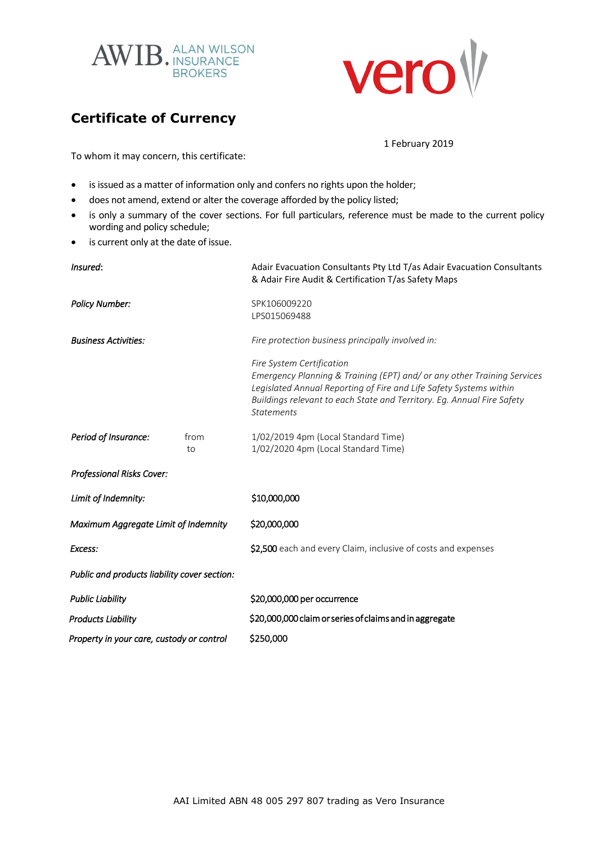



## **Certificate of Currency**

1 February 2019

To whom it may concern, this certificate:

- is issued as a matter of information only and confers no rights upon the holder;
- does not amend, extend or alter the coverage afforded by the policy listed;
- is only a summary of the cover sections. For full particulars, reference must be made to the current policy wording and policy schedule;
- is current only at the date of issue.

| Insured:                                     |            | Adair Evacuation Consultants Pty Ltd T/as Adair Evacuation Consultants<br>& Adair Fire Audit & Certification T/as Safety Maps                                                                                                                                             |
|----------------------------------------------|------------|---------------------------------------------------------------------------------------------------------------------------------------------------------------------------------------------------------------------------------------------------------------------------|
| <b>Policy Number:</b>                        |            | SPK106009220<br>LPS015069488                                                                                                                                                                                                                                              |
| <b>Business Activities:</b>                  |            | Fire protection business principally involved in:                                                                                                                                                                                                                         |
|                                              |            | Fire System Certification<br>Emergency Planning & Training (EPT) and/ or any other Training Services<br>Legislated Annual Reporting of Fire and Life Safety Systems within<br>Buildings relevant to each State and Territory. Eg. Annual Fire Safety<br><b>Statements</b> |
| Period of Insurance:                         | from<br>to | 1/02/2019 4pm (Local Standard Time)<br>1/02/2020 4pm (Local Standard Time)                                                                                                                                                                                                |
| <b>Professional Risks Cover:</b>             |            |                                                                                                                                                                                                                                                                           |
| Limit of Indemnity:                          |            | \$10,000,000                                                                                                                                                                                                                                                              |
| Maximum Aggregate Limit of Indemnity         |            | \$20,000,000                                                                                                                                                                                                                                                              |
| Excess:                                      |            | \$2,500 each and every Claim, inclusive of costs and expenses                                                                                                                                                                                                             |
| Public and products liability cover section: |            |                                                                                                                                                                                                                                                                           |
| <b>Public Liability</b>                      |            | \$20,000,000 per occurrence                                                                                                                                                                                                                                               |
| <b>Products Liability</b>                    |            | \$20,000,000 claim or series of claims and in aggregate                                                                                                                                                                                                                   |
| Property in your care, custody or control    |            | \$250,000                                                                                                                                                                                                                                                                 |